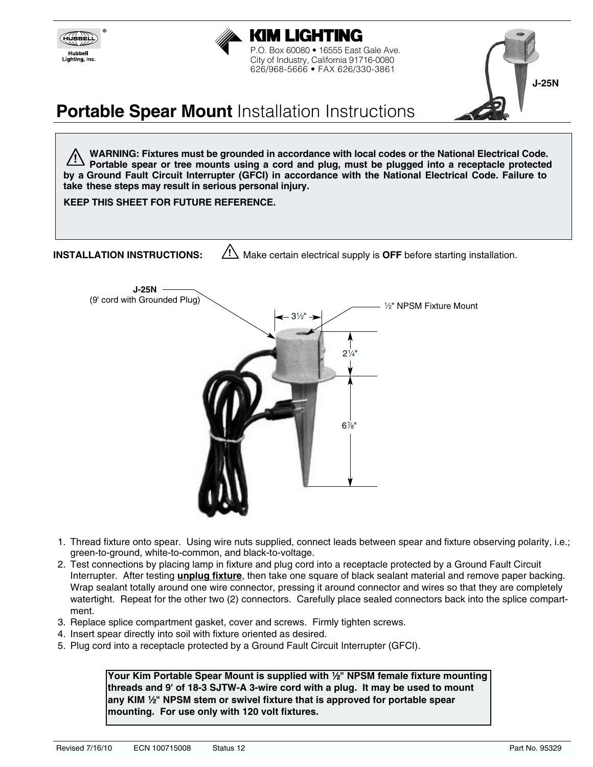



P.O. Box 60080 • 16555 East Gale Ave. City of Industry, California 91716-0080 626/968-5666 • FAX 626/330-3861



# **Portable Spear Mount Installation Instructions**

**WARNING: Fixtures must be grounded in accordance with local codes or the National Electrical Code. Portable spear or tree mounts using a cord and plug, must be plugged into a receptacle protected by a Ground Fault Circuit Interrupter (GFCI) in accordance with the National Electrical Code. Failure to take these steps may result in serious personal injury. !**

**KEEP THIS SHEET FOR FUTURE REFERENCE.**

**INSTALLATION INSTRUCTIONS:**  $\angle$ ! Make certain electrical supply is OFF before starting installation.



- 1. Thread fixture onto spear. Using wire nuts supplied, connect leads between spear and fixture observing polarity, i.e.; green-to-ground, white-to-common, and black-to-voltage.
- 2. Test connections by placing lamp in fixture and plug cord into a receptacle protected by a Ground Fault Circuit Interrupter. After testing **unplug fixture**, then take one square of black sealant material and remove paper backing. Wrap sealant totally around one wire connector, pressing it around connector and wires so that they are completely watertight. Repeat for the other two (2) connectors. Carefully place sealed connectors back into the splice compartment.
- 3. Replace splice compartment gasket, cover and screws. Firmly tighten screws.
- 4. Insert spear directly into soil with fixture oriented as desired.
- 5. Plug cord into a receptacle protected by a Ground Fault Circuit Interrupter (GFCI).

Your Kim Portable Spear Mount is supplied with <sup>1/2"</sup> NPSM female fixture mounting **threads and 9' of 18-3 SJTW-A 3-wire cord with a plug. It may be used to mount** any KIM <sup>1</sup>/<sub>2</sub>" NPSM stem or swivel fixture that is approved for portable spear **mounting. For use only with 120 volt fixtures.**